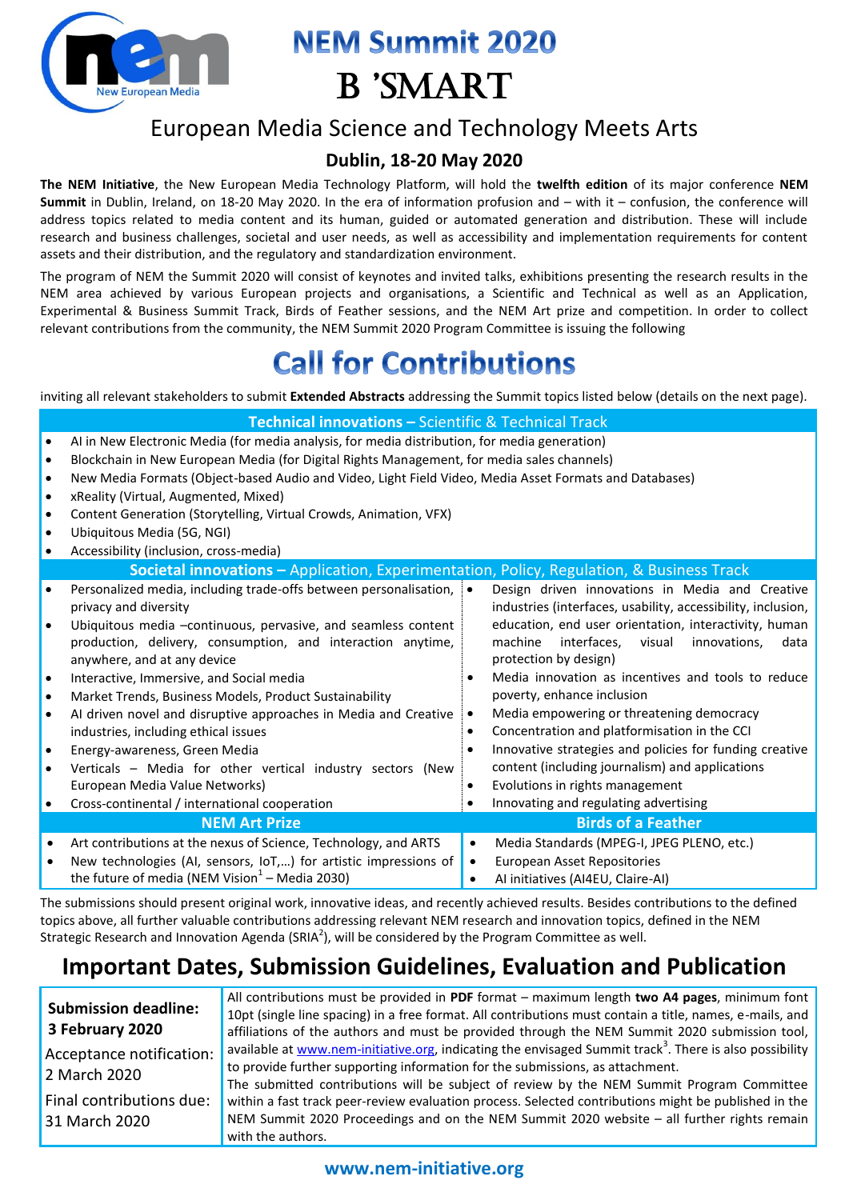

# **NEM Summit 2020 B** 'SMART

### European Media Science and Technology Meets Arts

### **Dublin, 18-20 May 2020**

**The NEM Initiative**, the New European Media Technology Platform, will hold the **twelfth edition** of its major conference **NEM Summit** in Dublin, Ireland, on 18-20 May 2020. In the era of information profusion and – with it – confusion, the conference will address topics related to media content and its human, guided or automated generation and distribution. These will include research and business challenges, societal and user needs, as well as accessibility and implementation requirements for content assets and their distribution, and the regulatory and standardization environment.

The program of NEM the Summit 2020 will consist of keynotes and invited talks, exhibitions presenting the research results in the NEM area achieved by various European projects and organisations, a Scientific and Technical as well as an Application, Experimental & Business Summit Track, Birds of Feather sessions, and the NEM Art prize and competition. In order to collect relevant contributions from the community, the NEM Summit 2020 Program Committee is issuing the following

# **Call for Contributions**

inviting all relevant stakeholders to submit **Extended Abstracts** addressing the Summit topics listed below (details on the next page).

| <b>Technical innovations - Scientific &amp; Technical Track</b>                           |                                                                                                                                                                                             |           |                                                                                                                       |  |
|-------------------------------------------------------------------------------------------|---------------------------------------------------------------------------------------------------------------------------------------------------------------------------------------------|-----------|-----------------------------------------------------------------------------------------------------------------------|--|
| $\bullet$                                                                                 | Al in New Electronic Media (for media analysis, for media distribution, for media generation)<br>Blockchain in New European Media (for Digital Rights Management, for media sales channels) |           |                                                                                                                       |  |
| $\bullet$                                                                                 | New Media Formats (Object-based Audio and Video, Light Field Video, Media Asset Formats and Databases)                                                                                      |           |                                                                                                                       |  |
| $\bullet$                                                                                 | xReality (Virtual, Augmented, Mixed)                                                                                                                                                        |           |                                                                                                                       |  |
| $\bullet$                                                                                 | Content Generation (Storytelling, Virtual Crowds, Animation, VFX)                                                                                                                           |           |                                                                                                                       |  |
| $\bullet$                                                                                 | Ubiquitous Media (5G, NGI)                                                                                                                                                                  |           |                                                                                                                       |  |
|                                                                                           | Accessibility (inclusion, cross-media)                                                                                                                                                      |           |                                                                                                                       |  |
| Societal innovations - Application, Experimentation, Policy, Regulation, & Business Track |                                                                                                                                                                                             |           |                                                                                                                       |  |
| $\bullet$                                                                                 | Personalized media, including trade-offs between personalisation,                                                                                                                           | $\bullet$ | Design driven innovations in Media and Creative                                                                       |  |
| $\bullet$                                                                                 | privacy and diversity                                                                                                                                                                       |           | industries (interfaces, usability, accessibility, inclusion,<br>education, end user orientation, interactivity, human |  |
|                                                                                           | Ubiquitous media -continuous, pervasive, and seamless content<br>production, delivery, consumption, and interaction anytime,                                                                |           | machine<br>interfaces.<br>visual<br>innovations,<br>data                                                              |  |
|                                                                                           | anywhere, and at any device                                                                                                                                                                 |           | protection by design)                                                                                                 |  |
| $\bullet$                                                                                 | Interactive, Immersive, and Social media                                                                                                                                                    | $\bullet$ | Media innovation as incentives and tools to reduce                                                                    |  |
| $\bullet$                                                                                 | Market Trends, Business Models, Product Sustainability                                                                                                                                      |           | poverty, enhance inclusion                                                                                            |  |
| $\bullet$                                                                                 | Al driven novel and disruptive approaches in Media and Creative                                                                                                                             | ٠         | Media empowering or threatening democracy                                                                             |  |
|                                                                                           | industries, including ethical issues                                                                                                                                                        | ٠         | Concentration and platformisation in the CCI                                                                          |  |
| $\bullet$                                                                                 | Energy-awareness, Green Media                                                                                                                                                               | $\bullet$ | Innovative strategies and policies for funding creative                                                               |  |
|                                                                                           | Verticals - Media for other vertical industry sectors (New                                                                                                                                  |           | content (including journalism) and applications                                                                       |  |
|                                                                                           | European Media Value Networks)                                                                                                                                                              | $\bullet$ | Evolutions in rights management                                                                                       |  |
|                                                                                           | Cross-continental / international cooperation                                                                                                                                               |           | Innovating and regulating advertising                                                                                 |  |
| <b>NEM Art Prize</b>                                                                      |                                                                                                                                                                                             |           | <b>Birds of a Feather</b>                                                                                             |  |
| $\bullet$                                                                                 | Art contributions at the nexus of Science, Technology, and ARTS                                                                                                                             | $\bullet$ | Media Standards (MPEG-I, JPEG PLENO, etc.)                                                                            |  |
|                                                                                           | New technologies (AI, sensors, IoT,) for artistic impressions of                                                                                                                            | $\bullet$ | European Asset Repositories                                                                                           |  |
|                                                                                           | the future of media (NEM Vision $1$ – Media 2030)                                                                                                                                           |           | Al initiatives (AI4EU, Claire-AI)                                                                                     |  |

The submissions should present original work, innovative ideas, and recently achieved results. Besides contributions to the defined topics above, all further valuable contributions addressing relevant NEM research and innovation topics, defined in the NEM Strategic Research and Innovation Agenda (SRIA<sup>2</sup>), will be considered by the Program Committee as well.

## **Important Dates, Submission Guidelines, Evaluation and Publication**

| <b>Submission deadline:</b> | All contributions must be provided in PDF format – maximum length two A4 pages, minimum font                        |
|-----------------------------|---------------------------------------------------------------------------------------------------------------------|
|                             | 10pt (single line spacing) in a free format. All contributions must contain a title, names, e-mails, and            |
| 3 February 2020             | affiliations of the authors and must be provided through the NEM Summit 2020 submission tool,                       |
| Acceptance notification:    | available at www.nem-initiative.org, indicating the envisaged Summit track <sup>3</sup> . There is also possibility |
| 2 March 2020                | to provide further supporting information for the submissions, as attachment.                                       |
|                             | The submitted contributions will be subject of review by the NEM Summit Program Committee                           |
| Final contributions due:    | within a fast track peer-review evaluation process. Selected contributions might be published in the                |
| 31 March 2020               | NEM Summit 2020 Proceedings and on the NEM Summit 2020 website - all further rights remain                          |
|                             | with the authors.                                                                                                   |